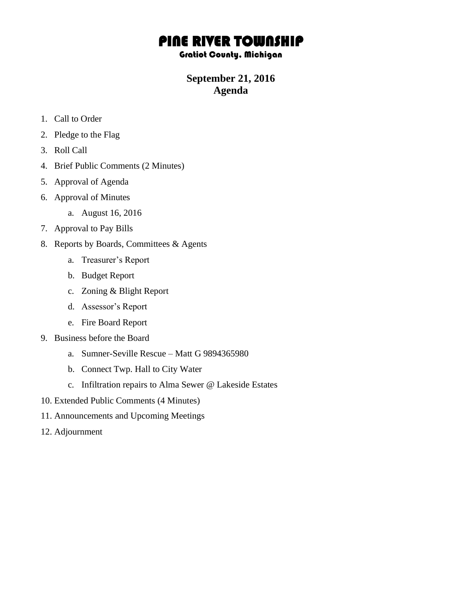## PINE RIVER TOWNSHIP

## Gratiot County, Michigan

## **September 21, 2016 Agenda**

- 1. Call to Order
- 2. Pledge to the Flag
- 3. Roll Call
- 4. Brief Public Comments (2 Minutes)
- 5. Approval of Agenda
- 6. Approval of Minutes
	- a. August 16, 2016
- 7. Approval to Pay Bills
- 8. Reports by Boards, Committees & Agents
	- a. Treasurer's Report
	- b. Budget Report
	- c. Zoning & Blight Report
	- d. Assessor's Report
	- e. Fire Board Report
- 9. Business before the Board
	- a. Sumner-Seville Rescue Matt G 9894365980
	- b. Connect Twp. Hall to City Water
	- c. Infiltration repairs to Alma Sewer @ Lakeside Estates
- 10. Extended Public Comments (4 Minutes)
- 11. Announcements and Upcoming Meetings
- 12. Adjournment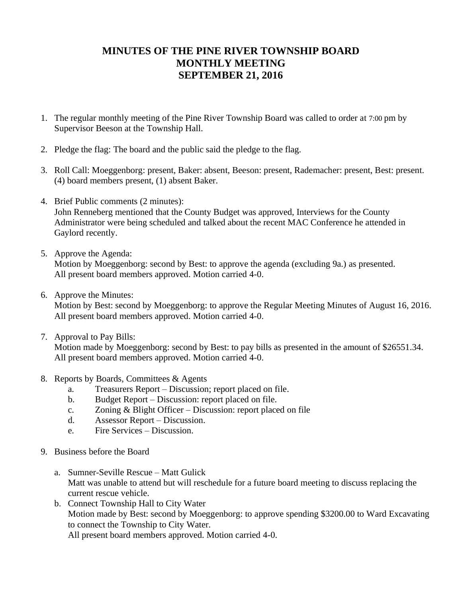## **MINUTES OF THE PINE RIVER TOWNSHIP BOARD MONTHLY MEETING SEPTEMBER 21, 2016**

- 1. The regular monthly meeting of the Pine River Township Board was called to order at 7:00 pm by Supervisor Beeson at the Township Hall.
- 2. Pledge the flag: The board and the public said the pledge to the flag.
- 3. Roll Call: Moeggenborg: present, Baker: absent, Beeson: present, Rademacher: present, Best: present. (4) board members present, (1) absent Baker.
- 4. Brief Public comments (2 minutes): John Renneberg mentioned that the County Budget was approved, Interviews for the County Administrator were being scheduled and talked about the recent MAC Conference he attended in Gaylord recently.
- 5. Approve the Agenda:

Motion by Moeggenborg: second by Best: to approve the agenda (excluding 9a.) as presented. All present board members approved. Motion carried 4-0.

6. Approve the Minutes:

Motion by Best: second by Moeggenborg: to approve the Regular Meeting Minutes of August 16, 2016. All present board members approved. Motion carried 4-0.

7. Approval to Pay Bills:

Motion made by Moeggenborg: second by Best: to pay bills as presented in the amount of \$26551.34. All present board members approved. Motion carried 4-0.

- 8. Reports by Boards, Committees & Agents
	- a. Treasurers Report Discussion; report placed on file.
	- b. Budget Report Discussion: report placed on file.
	- c. Zoning & Blight Officer Discussion: report placed on file
	- d. Assessor Report Discussion.
	- e. Fire Services Discussion.
- 9. Business before the Board
	- a. Sumner-Seville Rescue Matt Gulick Matt was unable to attend but will reschedule for a future board meeting to discuss replacing the current rescue vehicle.
	- b. Connect Township Hall to City Water Motion made by Best: second by Moeggenborg: to approve spending \$3200.00 to Ward Excavating to connect the Township to City Water. All present board members approved. Motion carried 4-0.